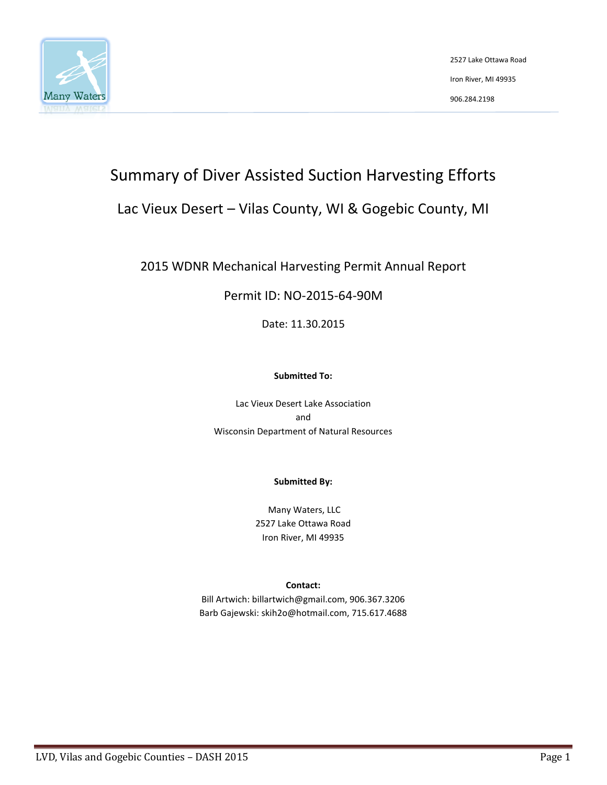

2527 Lake Ottawa Road Iron River, MI 49935 906.284.2198

# Summary of Diver Assisted Suction Harvesting Efforts

## Lac Vieux Desert – Vilas County, WI & Gogebic County, MI

## 2015 WDNR Mechanical Harvesting Permit Annual Report

### Permit ID: NO-2015-64-90M

Date: 11.30.2015

#### **Submitted To:**

Lac Vieux Desert Lake Association and Wisconsin Department of Natural Resources

#### **Submitted By:**

Many Waters, LLC 2527 Lake Ottawa Road Iron River, MI 49935

#### **Contact:**

Bill Artwich: billartwich@gmail.com, 906.367.3206 Barb Gajewski: skih2o@hotmail.com, 715.617.4688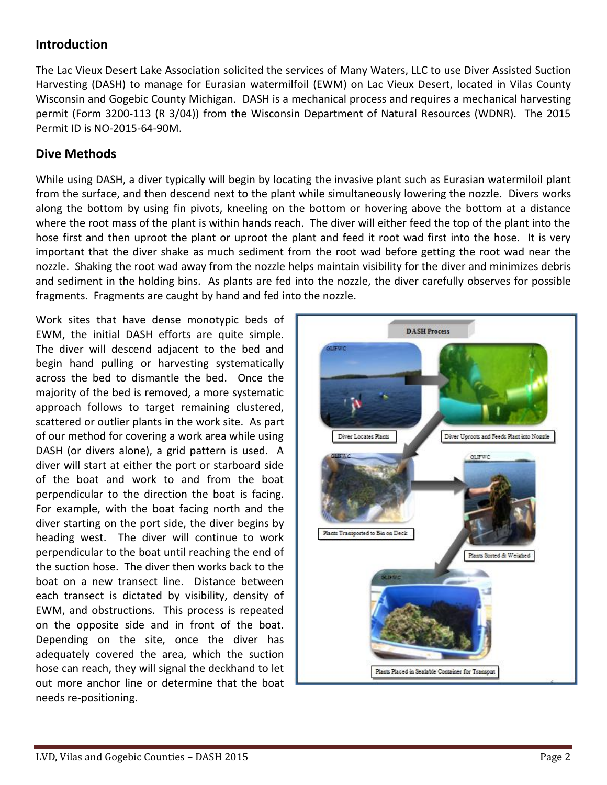### **Introduction**

The Lac Vieux Desert Lake Association solicited the services of Many Waters, LLC to use Diver Assisted Suction Harvesting (DASH) to manage for Eurasian watermilfoil (EWM) on Lac Vieux Desert, located in Vilas County Wisconsin and Gogebic County Michigan. DASH is a mechanical process and requires a mechanical harvesting permit (Form 3200-113 (R 3/04)) from the Wisconsin Department of Natural Resources (WDNR). The 2015 Permit ID is NO-2015-64-90M.

#### **Dive Methods**

While using DASH, a diver typically will begin by locating the invasive plant such as Eurasian watermiloil plant from the surface, and then descend next to the plant while simultaneously lowering the nozzle. Divers works along the bottom by using fin pivots, kneeling on the bottom or hovering above the bottom at a distance where the root mass of the plant is within hands reach. The diver will either feed the top of the plant into the hose first and then uproot the plant or uproot the plant and feed it root wad first into the hose. It is very important that the diver shake as much sediment from the root wad before getting the root wad near the nozzle. Shaking the root wad away from the nozzle helps maintain visibility for the diver and minimizes debris and sediment in the holding bins. As plants are fed into the nozzle, the diver carefully observes for possible fragments. Fragments are caught by hand and fed into the nozzle.

Work sites that have dense monotypic beds of EWM, the initial DASH efforts are quite simple. The diver will descend adjacent to the bed and begin hand pulling or harvesting systematically across the bed to dismantle the bed. Once the majority of the bed is removed, a more systematic approach follows to target remaining clustered, scattered or outlier plants in the work site. As part of our method for covering a work area while using DASH (or divers alone), a grid pattern is used. A diver will start at either the port or starboard side of the boat and work to and from the boat perpendicular to the direction the boat is facing. For example, with the boat facing north and the diver starting on the port side, the diver begins by heading west. The diver will continue to work perpendicular to the boat until reaching the end of the suction hose. The diver then works back to the boat on a new transect line. Distance between each transect is dictated by visibility, density of EWM, and obstructions. This process is repeated on the opposite side and in front of the boat. Depending on the site, once the diver has adequately covered the area, which the suction hose can reach, they will signal the deckhand to let out more anchor line or determine that the boat needs re-positioning.

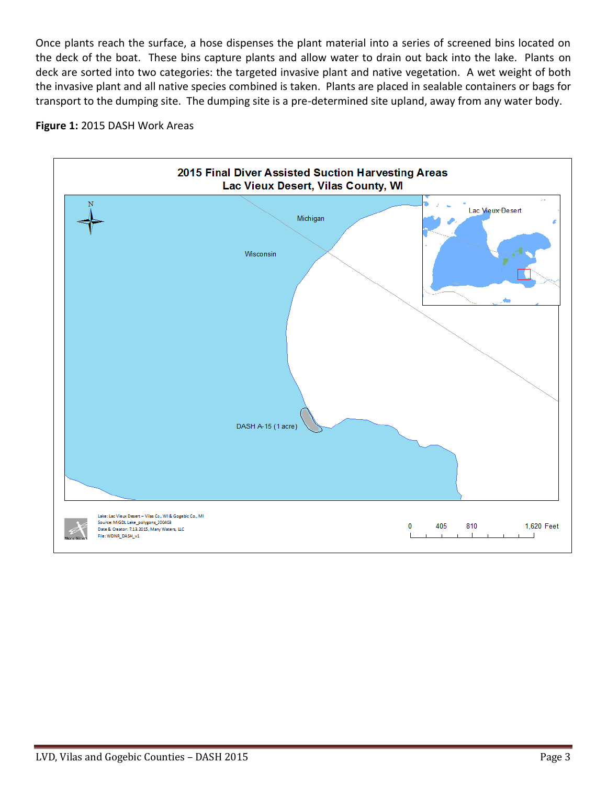Once plants reach the surface, a hose dispenses the plant material into a series of screened bins located on the deck of the boat. These bins capture plants and allow water to drain out back into the lake. Plants on deck are sorted into two categories: the targeted invasive plant and native vegetation. A wet weight of both the invasive plant and all native species combined is taken. Plants are placed in sealable containers or bags for transport to the dumping site. The dumping site is a pre-determined site upland, away from any water body.



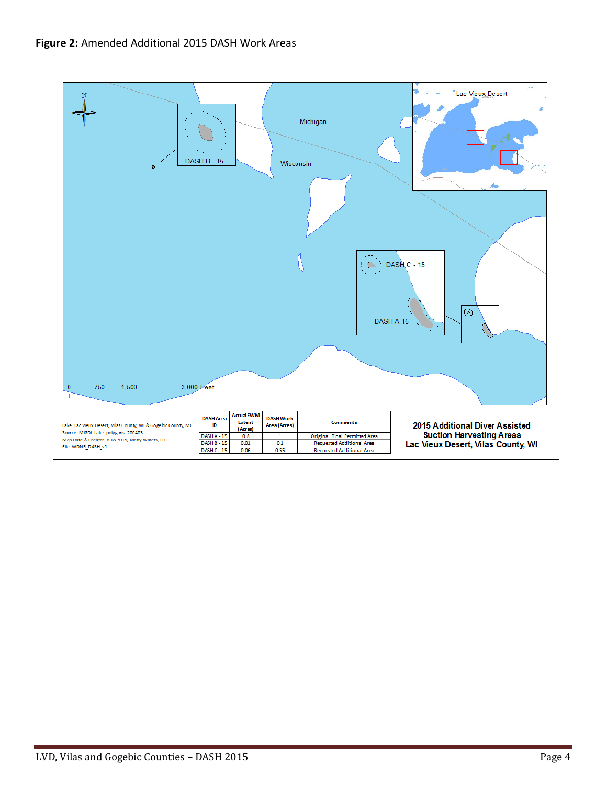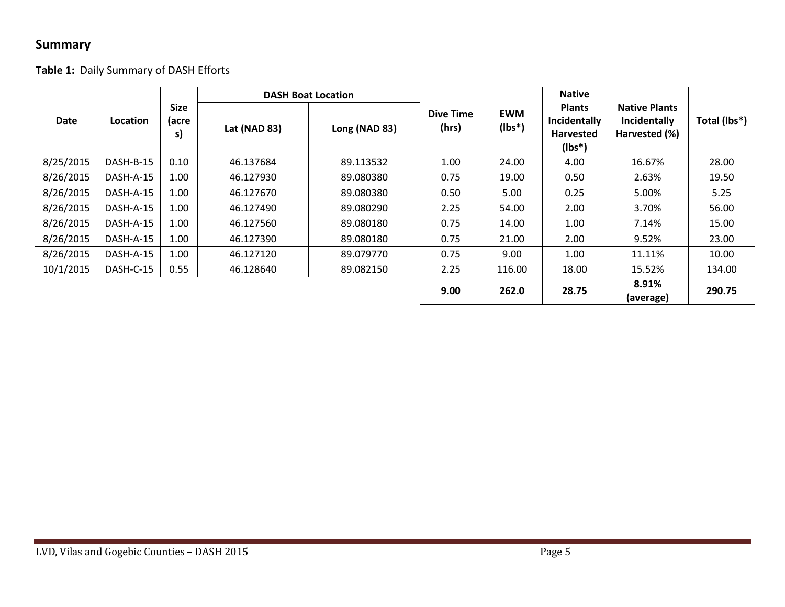## **Summary**

## **Table 1:** Daily Summary of DASH Efforts

| Date      | Location  | <b>Size</b><br>(acre<br>s) | <b>DASH Boat Location</b> |               |                           |                         | <b>Native</b>                                                 |                                                       |              |
|-----------|-----------|----------------------------|---------------------------|---------------|---------------------------|-------------------------|---------------------------------------------------------------|-------------------------------------------------------|--------------|
|           |           |                            | Lat (NAD 83)              | Long (NAD 83) | <b>Dive Time</b><br>(hrs) | <b>EWM</b><br>$(Ibs^*)$ | <b>Plants</b><br>Incidentally<br><b>Harvested</b><br>$(Ibs*)$ | <b>Native Plants</b><br>Incidentally<br>Harvested (%) | Total (lbs*) |
| 8/25/2015 | DASH-B-15 | 0.10                       | 46.137684                 | 89.113532     | 1.00                      | 24.00                   | 4.00                                                          | 16.67%                                                | 28.00        |
| 8/26/2015 | DASH-A-15 | 1.00                       | 46.127930                 | 89.080380     | 0.75                      | 19.00                   | 0.50                                                          | 2.63%                                                 | 19.50        |
| 8/26/2015 | DASH-A-15 | 1.00                       | 46.127670                 | 89.080380     | 0.50                      | 5.00                    | 0.25                                                          | 5.00%                                                 | 5.25         |
| 8/26/2015 | DASH-A-15 | 1.00                       | 46.127490                 | 89.080290     | 2.25                      | 54.00                   | 2.00                                                          | 3.70%                                                 | 56.00        |
| 8/26/2015 | DASH-A-15 | 1.00                       | 46.127560                 | 89.080180     | 0.75                      | 14.00                   | 1.00                                                          | 7.14%                                                 | 15.00        |
| 8/26/2015 | DASH-A-15 | 1.00                       | 46.127390                 | 89.080180     | 0.75                      | 21.00                   | 2.00                                                          | 9.52%                                                 | 23.00        |
| 8/26/2015 | DASH-A-15 | 1.00                       | 46.127120                 | 89.079770     | 0.75                      | 9.00                    | 1.00                                                          | 11.11%                                                | 10.00        |
| 10/1/2015 | DASH-C-15 | 0.55                       | 46.128640                 | 89.082150     | 2.25                      | 116.00                  | 18.00                                                         | 15.52%                                                | 134.00       |
|           |           |                            |                           |               | 9.00                      | 262.0                   | 28.75                                                         | 8.91%<br>(average)                                    | 290.75       |